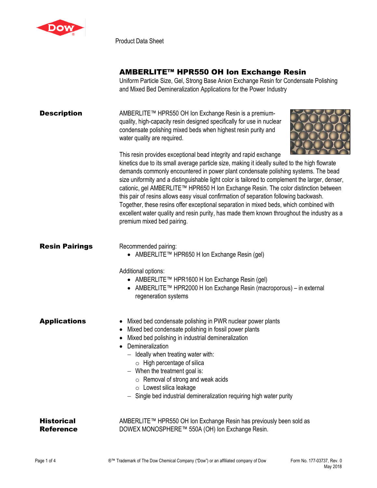

Product Data Sheet

## AMBERLITE™ HPR550 OH Ion Exchange Resin

Uniform Particle Size, Gel, Strong Base Anion Exchange Resin for Condensate Polishing and Mixed Bed Demineralization Applications for the Power Industry

**Description** AMBERLITE™ HPR550 OH Ion Exchange Resin is a premiumquality, high-capacity resin designed specifically for use in nuclear condensate polishing mixed beds when highest resin purity and water quality are required.



This resin provides exceptional bead integrity and rapid exchange kinetics due to its small average particle size, making it ideally suited to the high flowrate demands commonly encountered in power plant condensate polishing systems. The bead size uniformity and a distinguishable light color is tailored to complement the larger, denser, cationic, gel AMBERLITE™ HPR650 H Ion Exchange Resin. The color distinction between this pair of resins allows easy visual confirmation of separation following backwash. Together, these resins offer exceptional separation in mixed beds, which combined with excellent water quality and resin purity, has made them known throughout the industry as a premium mixed bed pairing.

**Resin Pairings** Recommended pairing:

• AMBERLITE™ HPR650 H Ion Exchange Resin (gel)

Additional options:

- AMBERLITE™ HPR1600 H Ion Exchange Resin (gel)
- AMBERLITE™ HPR2000 H Ion Exchange Resin (macroporous) in external regeneration systems

Applications • Mixed bed condensate polishing in PWR nuclear power plants

- Mixed bed condensate polishing in fossil power plants
- Mixed bed polishing in industrial demineralization
- Demineralization
	- − Ideally when treating water with:
		- $\circ$  High percentage of silica
	- − When the treatment goal is:
		- o Removal of strong and weak acids
		- o Lowest silica leakage
	- − Single bed industrial demineralization requiring high water purity

| Historical | AMBERLITE™ HPR550 OH Ion Exchange Resin has previously been sold as |
|------------|---------------------------------------------------------------------|
| Reference  | DOWEX MONOSPHERE™ 550A (OH) Ion Exchange Resin.                     |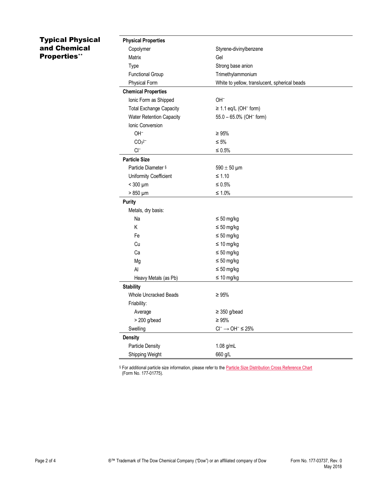## Typical Physical and Chemical Properties\*\*

| Copolymer<br>Styrene-divinylbenzene<br>Matrix<br>Gel<br>Strong base anion<br>Type<br>Trimethylammonium<br><b>Functional Group</b><br><b>Physical Form</b><br>White to yellow, translucent, spherical beads<br><b>Chemical Properties</b><br>Ionic Form as Shipped<br>OH-<br><b>Total Exchange Capacity</b><br>$\geq$ 1.1 eq/L (OH <sup>-</sup> form)<br><b>Water Retention Capacity</b><br>55.0 - 65.0% (OH <sup>-</sup> form)<br>Ionic Conversion<br>OH-<br>$\geq 95\%$<br>CO <sub>3</sub> <sup>2</sup><br>$\leq 5\%$<br>$Cl^-$<br>≤ $0.5%$<br><b>Particle Size</b><br>Particle Diameter §<br>$590 \pm 50$ µm<br>$≤ 1.10$<br>Uniformity Coefficient<br>$<$ 300 $\mu$ m<br>$\leq 0.5\%$<br>$>850 \mu m$<br>≤ 1.0%<br><b>Purity</b><br>Metals, dry basis:<br>Na<br>$\leq 50$ mg/kg<br>Κ<br>$\leq 50$ mg/kg<br>Fe<br>$\leq 50$ mg/kg<br>Cu<br>$\leq 10$ mg/kg<br>$\leq 50$ mg/kg<br>Ca<br>$\leq 50$ mg/kg<br>Mg<br>Al<br>$\leq 50$ mg/kg<br>$\leq 10$ mg/kg<br>Heavy Metals (as Pb)<br><b>Stability</b><br>Whole Uncracked Beads<br>$\geq 95%$<br>Friability:<br>$\geq$ 350 g/bead<br>Average<br>$> 200$ g/bead<br>$\geq 95\%$<br>$\text{Cl}^- \longrightarrow \text{OH}^- \leq 25\%$<br>Swelling<br><b>Density</b><br>Particle Density<br>1.08 g/mL<br>Shipping Weight<br>660 g/L | <b>Physical Properties</b> |  |
|----------------------------------------------------------------------------------------------------------------------------------------------------------------------------------------------------------------------------------------------------------------------------------------------------------------------------------------------------------------------------------------------------------------------------------------------------------------------------------------------------------------------------------------------------------------------------------------------------------------------------------------------------------------------------------------------------------------------------------------------------------------------------------------------------------------------------------------------------------------------------------------------------------------------------------------------------------------------------------------------------------------------------------------------------------------------------------------------------------------------------------------------------------------------------------------------------------------------------------------------------------------------------------|----------------------------|--|
|                                                                                                                                                                                                                                                                                                                                                                                                                                                                                                                                                                                                                                                                                                                                                                                                                                                                                                                                                                                                                                                                                                                                                                                                                                                                                  |                            |  |
|                                                                                                                                                                                                                                                                                                                                                                                                                                                                                                                                                                                                                                                                                                                                                                                                                                                                                                                                                                                                                                                                                                                                                                                                                                                                                  |                            |  |
|                                                                                                                                                                                                                                                                                                                                                                                                                                                                                                                                                                                                                                                                                                                                                                                                                                                                                                                                                                                                                                                                                                                                                                                                                                                                                  |                            |  |
|                                                                                                                                                                                                                                                                                                                                                                                                                                                                                                                                                                                                                                                                                                                                                                                                                                                                                                                                                                                                                                                                                                                                                                                                                                                                                  |                            |  |
|                                                                                                                                                                                                                                                                                                                                                                                                                                                                                                                                                                                                                                                                                                                                                                                                                                                                                                                                                                                                                                                                                                                                                                                                                                                                                  |                            |  |
|                                                                                                                                                                                                                                                                                                                                                                                                                                                                                                                                                                                                                                                                                                                                                                                                                                                                                                                                                                                                                                                                                                                                                                                                                                                                                  |                            |  |
|                                                                                                                                                                                                                                                                                                                                                                                                                                                                                                                                                                                                                                                                                                                                                                                                                                                                                                                                                                                                                                                                                                                                                                                                                                                                                  |                            |  |
|                                                                                                                                                                                                                                                                                                                                                                                                                                                                                                                                                                                                                                                                                                                                                                                                                                                                                                                                                                                                                                                                                                                                                                                                                                                                                  |                            |  |
|                                                                                                                                                                                                                                                                                                                                                                                                                                                                                                                                                                                                                                                                                                                                                                                                                                                                                                                                                                                                                                                                                                                                                                                                                                                                                  |                            |  |
|                                                                                                                                                                                                                                                                                                                                                                                                                                                                                                                                                                                                                                                                                                                                                                                                                                                                                                                                                                                                                                                                                                                                                                                                                                                                                  |                            |  |
|                                                                                                                                                                                                                                                                                                                                                                                                                                                                                                                                                                                                                                                                                                                                                                                                                                                                                                                                                                                                                                                                                                                                                                                                                                                                                  |                            |  |
|                                                                                                                                                                                                                                                                                                                                                                                                                                                                                                                                                                                                                                                                                                                                                                                                                                                                                                                                                                                                                                                                                                                                                                                                                                                                                  |                            |  |
|                                                                                                                                                                                                                                                                                                                                                                                                                                                                                                                                                                                                                                                                                                                                                                                                                                                                                                                                                                                                                                                                                                                                                                                                                                                                                  |                            |  |
|                                                                                                                                                                                                                                                                                                                                                                                                                                                                                                                                                                                                                                                                                                                                                                                                                                                                                                                                                                                                                                                                                                                                                                                                                                                                                  |                            |  |
|                                                                                                                                                                                                                                                                                                                                                                                                                                                                                                                                                                                                                                                                                                                                                                                                                                                                                                                                                                                                                                                                                                                                                                                                                                                                                  |                            |  |
|                                                                                                                                                                                                                                                                                                                                                                                                                                                                                                                                                                                                                                                                                                                                                                                                                                                                                                                                                                                                                                                                                                                                                                                                                                                                                  |                            |  |
|                                                                                                                                                                                                                                                                                                                                                                                                                                                                                                                                                                                                                                                                                                                                                                                                                                                                                                                                                                                                                                                                                                                                                                                                                                                                                  |                            |  |
|                                                                                                                                                                                                                                                                                                                                                                                                                                                                                                                                                                                                                                                                                                                                                                                                                                                                                                                                                                                                                                                                                                                                                                                                                                                                                  |                            |  |
|                                                                                                                                                                                                                                                                                                                                                                                                                                                                                                                                                                                                                                                                                                                                                                                                                                                                                                                                                                                                                                                                                                                                                                                                                                                                                  |                            |  |
|                                                                                                                                                                                                                                                                                                                                                                                                                                                                                                                                                                                                                                                                                                                                                                                                                                                                                                                                                                                                                                                                                                                                                                                                                                                                                  |                            |  |
|                                                                                                                                                                                                                                                                                                                                                                                                                                                                                                                                                                                                                                                                                                                                                                                                                                                                                                                                                                                                                                                                                                                                                                                                                                                                                  |                            |  |
|                                                                                                                                                                                                                                                                                                                                                                                                                                                                                                                                                                                                                                                                                                                                                                                                                                                                                                                                                                                                                                                                                                                                                                                                                                                                                  |                            |  |
|                                                                                                                                                                                                                                                                                                                                                                                                                                                                                                                                                                                                                                                                                                                                                                                                                                                                                                                                                                                                                                                                                                                                                                                                                                                                                  |                            |  |
|                                                                                                                                                                                                                                                                                                                                                                                                                                                                                                                                                                                                                                                                                                                                                                                                                                                                                                                                                                                                                                                                                                                                                                                                                                                                                  |                            |  |
|                                                                                                                                                                                                                                                                                                                                                                                                                                                                                                                                                                                                                                                                                                                                                                                                                                                                                                                                                                                                                                                                                                                                                                                                                                                                                  |                            |  |
|                                                                                                                                                                                                                                                                                                                                                                                                                                                                                                                                                                                                                                                                                                                                                                                                                                                                                                                                                                                                                                                                                                                                                                                                                                                                                  |                            |  |
|                                                                                                                                                                                                                                                                                                                                                                                                                                                                                                                                                                                                                                                                                                                                                                                                                                                                                                                                                                                                                                                                                                                                                                                                                                                                                  |                            |  |
|                                                                                                                                                                                                                                                                                                                                                                                                                                                                                                                                                                                                                                                                                                                                                                                                                                                                                                                                                                                                                                                                                                                                                                                                                                                                                  |                            |  |
|                                                                                                                                                                                                                                                                                                                                                                                                                                                                                                                                                                                                                                                                                                                                                                                                                                                                                                                                                                                                                                                                                                                                                                                                                                                                                  |                            |  |
|                                                                                                                                                                                                                                                                                                                                                                                                                                                                                                                                                                                                                                                                                                                                                                                                                                                                                                                                                                                                                                                                                                                                                                                                                                                                                  |                            |  |
|                                                                                                                                                                                                                                                                                                                                                                                                                                                                                                                                                                                                                                                                                                                                                                                                                                                                                                                                                                                                                                                                                                                                                                                                                                                                                  |                            |  |
|                                                                                                                                                                                                                                                                                                                                                                                                                                                                                                                                                                                                                                                                                                                                                                                                                                                                                                                                                                                                                                                                                                                                                                                                                                                                                  |                            |  |
|                                                                                                                                                                                                                                                                                                                                                                                                                                                                                                                                                                                                                                                                                                                                                                                                                                                                                                                                                                                                                                                                                                                                                                                                                                                                                  |                            |  |
|                                                                                                                                                                                                                                                                                                                                                                                                                                                                                                                                                                                                                                                                                                                                                                                                                                                                                                                                                                                                                                                                                                                                                                                                                                                                                  |                            |  |
|                                                                                                                                                                                                                                                                                                                                                                                                                                                                                                                                                                                                                                                                                                                                                                                                                                                                                                                                                                                                                                                                                                                                                                                                                                                                                  |                            |  |
|                                                                                                                                                                                                                                                                                                                                                                                                                                                                                                                                                                                                                                                                                                                                                                                                                                                                                                                                                                                                                                                                                                                                                                                                                                                                                  |                            |  |
|                                                                                                                                                                                                                                                                                                                                                                                                                                                                                                                                                                                                                                                                                                                                                                                                                                                                                                                                                                                                                                                                                                                                                                                                                                                                                  |                            |  |

§ For additional particle size information, please refer to the **Particle Size Distribution Cross Reference Chart** (Form No. 177-01775).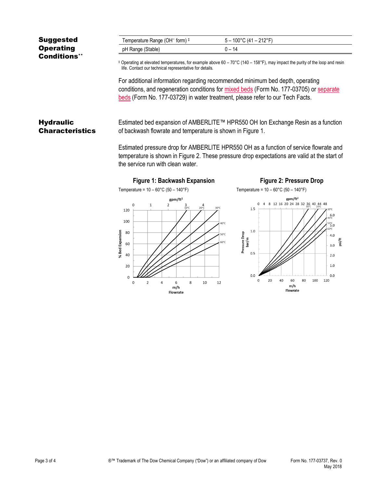| <b>Suggested</b>    | Temperature Range (OH <sup>-</sup> form) ‡                                                                                                                                                    | $5 - 100^{\circ}$ C (41 – 212°F) |
|---------------------|-----------------------------------------------------------------------------------------------------------------------------------------------------------------------------------------------|----------------------------------|
| <b>Operating</b>    | pH Range (Stable)                                                                                                                                                                             | $0 - 14$                         |
| <b>Conditions**</b> |                                                                                                                                                                                               |                                  |
|                     | $\pm$ Operating at elevated temperatures, for example above 60 – 70 °C (140 – 158 °F), may impact the purity of the loop and resin<br>life. Contact our technical representative for details. |                                  |

For additional information regarding recommended minimum bed depth, operating conditions, and regeneration conditions for [mixed beds](http://www.dow.com/webapps/include/GetDoc.aspx?filepath=liquidseps/pdfs/noreg/177-03705.pdf) (Form No. 177-03705) or [separate](http://www.dow.com/webapps/include/GetDoc.aspx?filepath=liquidseps/pdfs/noreg/177-03729.pdf)  [beds](http://www.dow.com/webapps/include/GetDoc.aspx?filepath=liquidseps/pdfs/noreg/177-03729.pdf) (Form No. 177-03729) in water treatment, please refer to our Tech Facts.

**Hydraulic Characteristics** 

Estimated bed expansion of AMBERLITE™ HPR550 OH Ion Exchange Resin as a function of backwash flowrate and temperature is shown in Figure 1.

Estimated pressure drop for AMBERLITE HPR550 OH as a function of service flowrate and temperature is shown in Figure 2. These pressure drop expectations are valid at the start of the service run with clean water.